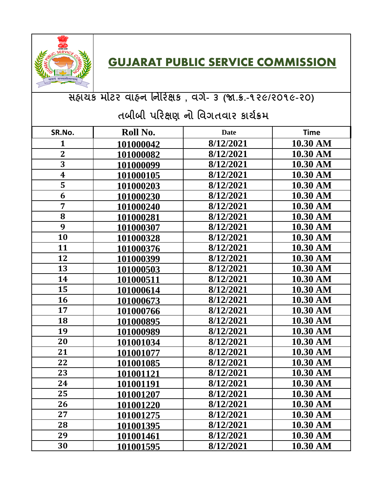

## **GUJARAT PUBLIC SERVICE COMMISSION**

## **સહાયક મોટર વાહન નનરરક્ષક , વર્ગ- ૩ (જા.ક્ર.-૧૨૯/૨૦૧૯-૨૦)**

## **તબીબી પરરક્ષણ નો નવર્તવાર કાયગક્રમ**

| SR.No.                  | Roll No.         | <b>Date</b> | <b>Time</b> |
|-------------------------|------------------|-------------|-------------|
|                         |                  |             |             |
| 1                       | 101000042        | 8/12/2021   | 10.30 AM    |
| $\overline{\mathbf{2}}$ | 101000082        | 8/12/2021   | 10.30 AM    |
| $\overline{3}$          | 101000099        | 8/12/2021   | 10.30 AM    |
| $\overline{\textbf{4}}$ | 101000105        | 8/12/2021   | 10.30 AM    |
| 5                       | 101000203        | 8/12/2021   | 10.30 AM    |
| 6                       | 101000230        | 8/12/2021   | 10.30 AM    |
| 7                       | 101000240        | 8/12/2021   | 10.30 AM    |
| 8                       | 101000281        | 8/12/2021   | 10.30 AM    |
| 9                       | 101000307        | 8/12/2021   | 10.30 AM    |
| 10                      | 101000328        | 8/12/2021   | 10.30 AM    |
| 11                      | 101000376        | 8/12/2021   | 10.30 AM    |
| 12                      | 101000399        | 8/12/2021   | 10.30 AM    |
| 13                      | 101000503        | 8/12/2021   | 10.30 AM    |
| 14                      | 101000511        | 8/12/2021   | 10.30 AM    |
| 15                      | 101000614        | 8/12/2021   | 10.30 AM    |
| 16                      | 101000673        | 8/12/2021   | 10.30 AM    |
| 17                      | 101000766        | 8/12/2021   | 10.30 AM    |
| 18                      | 101000895        | 8/12/2021   | 10.30 AM    |
| 19                      | 101000989        | 8/12/2021   | 10.30 AM    |
| 20                      | 101001034        | 8/12/2021   | 10.30 AM    |
| 21                      | 101001077        | 8/12/2021   | 10.30 AM    |
| 22                      | 101001085        | 8/12/2021   | 10.30 AM    |
| 23                      | 101001121        | 8/12/2021   | 10.30 AM    |
| 24                      | 101001191        | 8/12/2021   | 10.30 AM    |
| 25                      | 101001207        | 8/12/2021   | 10.30 AM    |
| 26                      | 101001220        | 8/12/2021   | 10.30 AM    |
| 27                      | 101001275        | 8/12/2021   | 10.30 AM    |
| 28                      | <u>101001395</u> | 8/12/2021   | 10.30 AM    |
| 29                      | 101001461        | 8/12/2021   | 10.30 AM    |
| 30                      | 101001595        | 8/12/2021   | 10.30 AM    |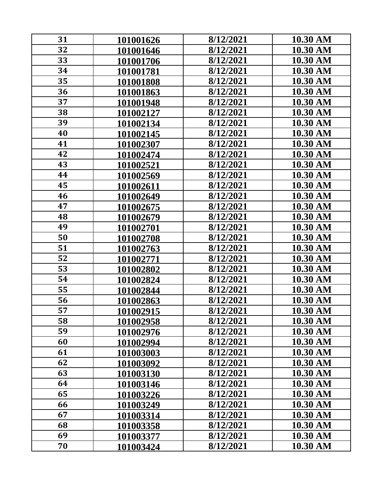| 31 | 101001626 | 8/12/2021 | 10.30 AM |
|----|-----------|-----------|----------|
| 32 | 101001646 | 8/12/2021 | 10.30 AM |
| 33 | 101001706 | 8/12/2021 | 10.30 AM |
| 34 | 101001781 | 8/12/2021 | 10.30 AM |
| 35 | 101001808 | 8/12/2021 | 10.30 AM |
| 36 | 101001863 | 8/12/2021 | 10.30 AM |
| 37 | 101001948 | 8/12/2021 | 10.30 AM |
| 38 | 101002127 | 8/12/2021 | 10.30 AM |
| 39 | 101002134 | 8/12/2021 | 10.30 AM |
| 40 | 101002145 | 8/12/2021 | 10.30 AM |
| 41 | 101002307 | 8/12/2021 | 10.30 AM |
| 42 | 101002474 | 8/12/2021 | 10.30 AM |
| 43 | 101002521 | 8/12/2021 | 10.30 AM |
| 44 | 101002569 | 8/12/2021 | 10.30 AM |
| 45 | 101002611 | 8/12/2021 | 10.30 AM |
| 46 | 101002649 | 8/12/2021 | 10.30 AM |
| 47 | 101002675 | 8/12/2021 | 10.30 AM |
| 48 | 101002679 | 8/12/2021 | 10.30 AM |
| 49 | 101002701 | 8/12/2021 | 10.30 AM |
| 50 | 101002708 | 8/12/2021 | 10.30 AM |
| 51 | 101002763 | 8/12/2021 | 10.30 AM |
| 52 | 101002771 | 8/12/2021 | 10.30 AM |
| 53 | 101002802 | 8/12/2021 | 10.30 AM |
| 54 | 101002824 | 8/12/2021 | 10.30 AM |
| 55 | 101002844 | 8/12/2021 | 10.30 AM |
| 56 | 101002863 | 8/12/2021 | 10.30 AM |
| 57 | 101002915 | 8/12/2021 | 10.30 AM |
| 58 | 101002958 | 8/12/2021 | 10.30 AM |
| 59 | 101002976 | 8/12/2021 | 10.30 AM |
| 60 | 101002994 | 8/12/2021 | 10.30 AM |
| 61 | 101003003 | 8/12/2021 | 10.30 AM |
| 62 | 101003092 | 8/12/2021 | 10.30 AM |
| 63 | 101003130 | 8/12/2021 | 10.30 AM |
| 64 | 101003146 | 8/12/2021 | 10.30 AM |
| 65 | 101003226 | 8/12/2021 | 10.30 AM |
| 66 | 101003249 | 8/12/2021 | 10.30 AM |
| 67 | 101003314 | 8/12/2021 | 10.30 AM |
| 68 | 101003358 | 8/12/2021 | 10.30 AM |
| 69 | 101003377 | 8/12/2021 | 10.30 AM |
| 70 | 101003424 | 8/12/2021 | 10.30 AM |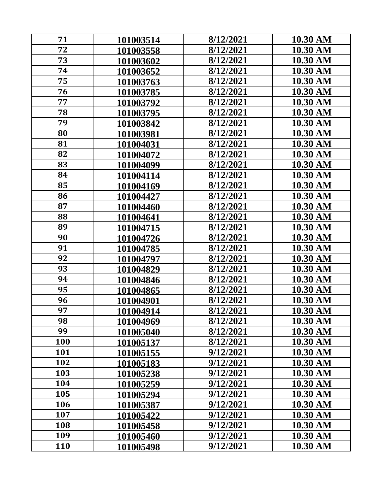| 71  | 101003514 | 8/12/2021 | 10.30 AM |
|-----|-----------|-----------|----------|
| 72  | 101003558 | 8/12/2021 | 10.30 AM |
| 73  | 101003602 | 8/12/2021 | 10.30 AM |
| 74  | 101003652 | 8/12/2021 | 10.30 AM |
| 75  | 101003763 | 8/12/2021 | 10.30 AM |
| 76  | 101003785 | 8/12/2021 | 10.30 AM |
| 77  | 101003792 | 8/12/2021 | 10.30 AM |
| 78  | 101003795 | 8/12/2021 | 10.30 AM |
| 79  | 101003842 | 8/12/2021 | 10.30 AM |
| 80  | 101003981 | 8/12/2021 | 10.30 AM |
| 81  | 101004031 | 8/12/2021 | 10.30 AM |
| 82  | 101004072 | 8/12/2021 | 10.30 AM |
| 83  | 101004099 | 8/12/2021 | 10.30 AM |
| 84  | 101004114 | 8/12/2021 | 10.30 AM |
| 85  | 101004169 | 8/12/2021 | 10.30 AM |
| 86  | 101004427 | 8/12/2021 | 10.30 AM |
| 87  | 101004460 | 8/12/2021 | 10.30 AM |
| 88  | 101004641 | 8/12/2021 | 10.30 AM |
| 89  | 101004715 | 8/12/2021 | 10.30 AM |
| 90  | 101004726 | 8/12/2021 | 10.30 AM |
| 91  | 101004785 | 8/12/2021 | 10.30 AM |
| 92  | 101004797 | 8/12/2021 | 10.30 AM |
| 93  | 101004829 | 8/12/2021 | 10.30 AM |
| 94  | 101004846 | 8/12/2021 | 10.30 AM |
| 95  | 101004865 | 8/12/2021 | 10.30 AM |
| 96  | 101004901 | 8/12/2021 | 10.30 AM |
| 97  | 101004914 | 8/12/2021 | 10.30 AM |
| 98  | 101004969 | 8/12/2021 | 10.30 AM |
| 99  | 101005040 | 8/12/2021 | 10.30 AM |
| 100 | 101005137 | 8/12/2021 | 10.30 AM |
| 101 | 101005155 | 9/12/2021 | 10.30 AM |
| 102 | 101005183 | 9/12/2021 | 10.30 AM |
| 103 | 101005238 | 9/12/2021 | 10.30 AM |
| 104 | 101005259 | 9/12/2021 | 10.30 AM |
| 105 | 101005294 | 9/12/2021 | 10.30 AM |
| 106 | 101005387 | 9/12/2021 | 10.30 AM |
| 107 | 101005422 | 9/12/2021 | 10.30 AM |
| 108 | 101005458 | 9/12/2021 | 10.30 AM |
| 109 | 101005460 | 9/12/2021 | 10.30 AM |
| 110 | 101005498 | 9/12/2021 | 10.30 AM |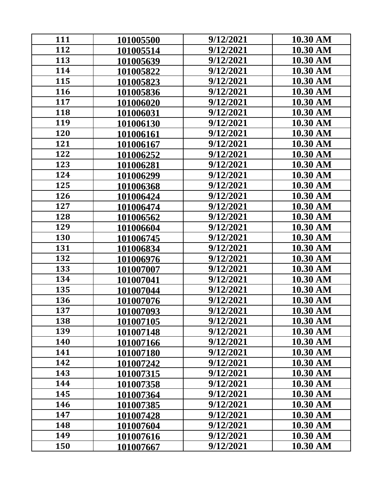| 111 | 101005500 | 9/12/2021 | 10.30 AM |
|-----|-----------|-----------|----------|
| 112 | 101005514 | 9/12/2021 | 10.30 AM |
| 113 | 101005639 | 9/12/2021 | 10.30 AM |
| 114 | 101005822 | 9/12/2021 | 10.30 AM |
| 115 | 101005823 | 9/12/2021 | 10.30 AM |
| 116 | 101005836 | 9/12/2021 | 10.30 AM |
| 117 | 101006020 | 9/12/2021 | 10.30 AM |
| 118 | 101006031 | 9/12/2021 | 10.30 AM |
| 119 | 101006130 | 9/12/2021 | 10.30 AM |
| 120 | 101006161 | 9/12/2021 | 10.30 AM |
| 121 | 101006167 | 9/12/2021 | 10.30 AM |
| 122 | 101006252 | 9/12/2021 | 10.30 AM |
| 123 | 101006281 | 9/12/2021 | 10.30 AM |
| 124 | 101006299 | 9/12/2021 | 10.30 AM |
| 125 | 101006368 | 9/12/2021 | 10.30 AM |
| 126 | 101006424 | 9/12/2021 | 10.30 AM |
| 127 | 101006474 | 9/12/2021 | 10.30 AM |
| 128 | 101006562 | 9/12/2021 | 10.30 AM |
| 129 | 101006604 | 9/12/2021 | 10.30 AM |
| 130 | 101006745 | 9/12/2021 | 10.30 AM |
| 131 | 101006834 | 9/12/2021 | 10.30 AM |
| 132 | 101006976 | 9/12/2021 | 10.30 AM |
| 133 | 101007007 | 9/12/2021 | 10.30 AM |
| 134 | 101007041 | 9/12/2021 | 10.30 AM |
| 135 | 101007044 | 9/12/2021 | 10.30 AM |
| 136 | 101007076 | 9/12/2021 | 10.30 AM |
| 137 | 101007093 | 9/12/2021 | 10.30 AM |
| 138 | 101007105 | 9/12/2021 | 10.30 AM |
| 139 | 101007148 | 9/12/2021 | 10.30 AM |
| 140 | 101007166 | 9/12/2021 | 10.30 AM |
| 141 | 101007180 | 9/12/2021 | 10.30 AM |
| 142 | 101007242 | 9/12/2021 | 10.30 AM |
| 143 | 101007315 | 9/12/2021 | 10.30 AM |
| 144 | 101007358 | 9/12/2021 | 10.30 AM |
| 145 | 101007364 | 9/12/2021 | 10.30 AM |
| 146 | 101007385 | 9/12/2021 | 10.30 AM |
| 147 | 101007428 | 9/12/2021 | 10.30 AM |
| 148 | 101007604 | 9/12/2021 | 10.30 AM |
| 149 | 101007616 | 9/12/2021 | 10.30 AM |
| 150 | 101007667 | 9/12/2021 | 10.30 AM |
|     |           |           |          |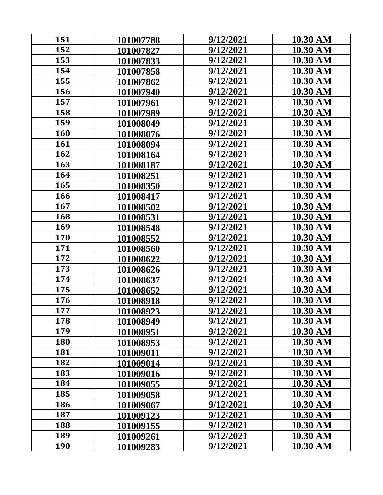| 151 | 101007788 | 9/12/2021 | 10.30 AM |
|-----|-----------|-----------|----------|
| 152 | 101007827 | 9/12/2021 | 10.30 AM |
| 153 | 101007833 | 9/12/2021 | 10.30 AM |
| 154 | 101007858 | 9/12/2021 | 10.30 AM |
| 155 | 101007862 | 9/12/2021 | 10.30 AM |
| 156 | 101007940 | 9/12/2021 | 10.30 AM |
| 157 | 101007961 | 9/12/2021 | 10.30 AM |
| 158 | 101007989 | 9/12/2021 | 10.30 AM |
| 159 | 101008049 | 9/12/2021 | 10.30 AM |
| 160 | 101008076 | 9/12/2021 | 10.30 AM |
| 161 | 101008094 | 9/12/2021 | 10.30 AM |
| 162 | 101008164 | 9/12/2021 | 10.30 AM |
| 163 | 101008187 | 9/12/2021 | 10.30 AM |
| 164 | 101008251 | 9/12/2021 | 10.30 AM |
| 165 | 101008350 | 9/12/2021 | 10.30 AM |
| 166 | 101008417 | 9/12/2021 | 10.30 AM |
| 167 | 101008502 | 9/12/2021 | 10.30 AM |
| 168 | 101008531 | 9/12/2021 | 10.30 AM |
| 169 | 101008548 | 9/12/2021 | 10.30 AM |
| 170 | 101008552 | 9/12/2021 | 10.30 AM |
| 171 | 101008560 | 9/12/2021 | 10.30 AM |
| 172 | 101008622 | 9/12/2021 | 10.30 AM |
| 173 | 101008626 | 9/12/2021 | 10.30 AM |
| 174 | 101008637 | 9/12/2021 | 10.30 AM |
| 175 | 101008652 | 9/12/2021 | 10.30 AM |
| 176 | 101008918 | 9/12/2021 | 10.30 AM |
| 177 | 101008923 | 9/12/2021 | 10.30 AM |
| 178 | 101008949 | 9/12/2021 | 10.30 AM |
| 179 | 101008951 | 9/12/2021 | 10.30 AM |
| 180 | 101008953 | 9/12/2021 | 10.30 AM |
| 181 | 101009011 | 9/12/2021 | 10.30 AM |
| 182 | 101009014 | 9/12/2021 | 10.30 AM |
| 183 | 101009016 | 9/12/2021 | 10.30 AM |
| 184 | 101009055 | 9/12/2021 | 10.30 AM |
| 185 | 101009058 | 9/12/2021 | 10.30 AM |
| 186 | 101009067 | 9/12/2021 | 10.30 AM |
| 187 | 101009123 | 9/12/2021 | 10.30 AM |
| 188 | 101009155 | 9/12/2021 | 10.30 AM |
| 189 | 101009261 | 9/12/2021 | 10.30 AM |
| 190 | 101009283 | 9/12/2021 | 10.30 AM |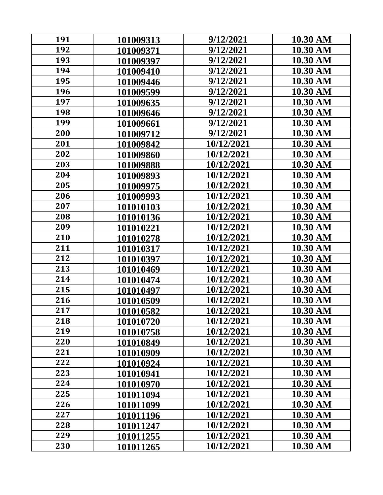| 191 | 101009313 | 9/12/2021  | 10.30 AM |
|-----|-----------|------------|----------|
| 192 | 101009371 | 9/12/2021  | 10.30 AM |
| 193 | 101009397 | 9/12/2021  | 10.30 AM |
| 194 | 101009410 | 9/12/2021  | 10.30 AM |
| 195 | 101009446 | 9/12/2021  | 10.30 AM |
| 196 | 101009599 | 9/12/2021  | 10.30 AM |
| 197 | 101009635 | 9/12/2021  | 10.30 AM |
| 198 | 101009646 | 9/12/2021  | 10.30 AM |
| 199 | 101009661 | 9/12/2021  | 10.30 AM |
| 200 | 101009712 | 9/12/2021  | 10.30 AM |
| 201 | 101009842 | 10/12/2021 | 10.30 AM |
| 202 | 101009860 | 10/12/2021 | 10.30 AM |
| 203 | 101009888 | 10/12/2021 | 10.30 AM |
| 204 | 101009893 | 10/12/2021 | 10.30 AM |
| 205 | 101009975 | 10/12/2021 | 10.30 AM |
| 206 | 101009993 | 10/12/2021 | 10.30 AM |
| 207 | 101010103 | 10/12/2021 | 10.30 AM |
| 208 | 101010136 | 10/12/2021 | 10.30 AM |
| 209 | 101010221 | 10/12/2021 | 10.30 AM |
| 210 | 101010278 | 10/12/2021 | 10.30 AM |
| 211 | 101010317 | 10/12/2021 | 10.30 AM |
| 212 | 101010397 | 10/12/2021 | 10.30 AM |
| 213 | 101010469 | 10/12/2021 | 10.30 AM |
| 214 | 101010474 | 10/12/2021 | 10.30 AM |
| 215 | 101010497 | 10/12/2021 | 10.30 AM |
| 216 | 101010509 | 10/12/2021 | 10.30 AM |
| 217 | 101010582 | 10/12/2021 | 10.30 AM |
| 218 | 101010720 | 10/12/2021 | 10.30 AM |
| 219 | 101010758 | 10/12/2021 | 10.30 AM |
| 220 | 101010849 | 10/12/2021 | 10.30 AM |
| 221 | 101010909 | 10/12/2021 | 10.30 AM |
| 222 | 101010924 | 10/12/2021 | 10.30 AM |
| 223 | 101010941 | 10/12/2021 | 10.30 AM |
| 224 | 101010970 | 10/12/2021 | 10.30 AM |
| 225 | 101011094 | 10/12/2021 | 10.30 AM |
| 226 | 101011099 | 10/12/2021 | 10.30 AM |
| 227 | 101011196 | 10/12/2021 | 10.30 AM |
| 228 | 101011247 | 10/12/2021 | 10.30 AM |
| 229 | 101011255 | 10/12/2021 | 10.30 AM |
| 230 | 101011265 | 10/12/2021 | 10.30 AM |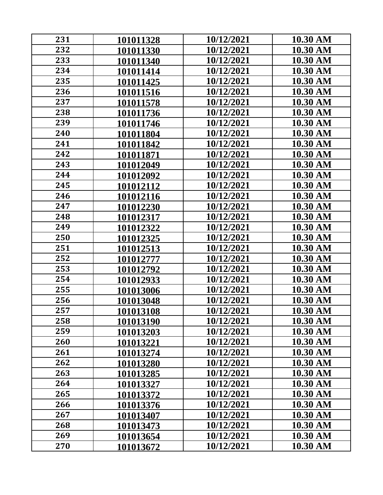| 231 | 101011328 | 10/12/2021 | 10.30 AM |
|-----|-----------|------------|----------|
| 232 | 101011330 | 10/12/2021 | 10.30 AM |
| 233 | 101011340 | 10/12/2021 | 10.30 AM |
| 234 | 101011414 | 10/12/2021 | 10.30 AM |
| 235 | 101011425 | 10/12/2021 | 10.30 AM |
| 236 | 101011516 | 10/12/2021 | 10.30 AM |
| 237 | 101011578 | 10/12/2021 | 10.30 AM |
| 238 | 101011736 | 10/12/2021 | 10.30 AM |
| 239 | 101011746 | 10/12/2021 | 10.30 AM |
| 240 | 101011804 | 10/12/2021 | 10.30 AM |
| 241 | 101011842 | 10/12/2021 | 10.30 AM |
| 242 | 101011871 | 10/12/2021 | 10.30 AM |
| 243 | 101012049 | 10/12/2021 | 10.30 AM |
| 244 | 101012092 | 10/12/2021 | 10.30 AM |
| 245 | 101012112 | 10/12/2021 | 10.30 AM |
| 246 | 101012116 | 10/12/2021 | 10.30 AM |
| 247 | 101012230 | 10/12/2021 | 10.30 AM |
| 248 | 101012317 | 10/12/2021 | 10.30 AM |
| 249 | 101012322 | 10/12/2021 | 10.30 AM |
| 250 | 101012325 | 10/12/2021 | 10.30 AM |
| 251 | 101012513 | 10/12/2021 | 10.30 AM |
| 252 | 101012777 | 10/12/2021 | 10.30 AM |
| 253 | 101012792 | 10/12/2021 | 10.30 AM |
| 254 | 101012933 | 10/12/2021 | 10.30 AM |
| 255 | 101013006 | 10/12/2021 | 10.30 AM |
| 256 | 101013048 | 10/12/2021 | 10.30 AM |
| 257 | 101013108 | 10/12/2021 | 10.30 AM |
| 258 | 101013190 | 10/12/2021 | 10.30 AM |
| 259 | 101013203 | 10/12/2021 | 10.30 AM |
| 260 | 101013221 | 10/12/2021 | 10.30 AM |
| 261 | 101013274 | 10/12/2021 | 10.30 AM |
| 262 | 101013280 | 10/12/2021 | 10.30 AM |
| 263 | 101013285 | 10/12/2021 | 10.30 AM |
| 264 | 101013327 | 10/12/2021 | 10.30 AM |
| 265 | 101013372 | 10/12/2021 | 10.30 AM |
| 266 | 101013376 | 10/12/2021 | 10.30 AM |
| 267 | 101013407 | 10/12/2021 | 10.30 AM |
| 268 | 101013473 | 10/12/2021 | 10.30 AM |
| 269 | 101013654 | 10/12/2021 | 10.30 AM |
| 270 | 101013672 | 10/12/2021 | 10.30 AM |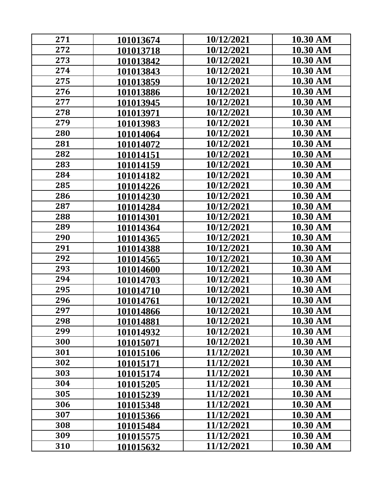| 271 | 101013674 | 10/12/2021 | 10.30 AM |
|-----|-----------|------------|----------|
| 272 | 101013718 | 10/12/2021 | 10.30 AM |
| 273 | 101013842 | 10/12/2021 | 10.30 AM |
| 274 | 101013843 | 10/12/2021 | 10.30 AM |
| 275 | 101013859 | 10/12/2021 | 10.30 AM |
| 276 | 101013886 | 10/12/2021 | 10.30 AM |
| 277 | 101013945 | 10/12/2021 | 10.30 AM |
| 278 | 101013971 | 10/12/2021 | 10.30 AM |
| 279 | 101013983 | 10/12/2021 | 10.30 AM |
| 280 | 101014064 | 10/12/2021 | 10.30 AM |
| 281 | 101014072 | 10/12/2021 | 10.30 AM |
| 282 | 101014151 | 10/12/2021 | 10.30 AM |
| 283 | 101014159 | 10/12/2021 | 10.30 AM |
| 284 | 101014182 | 10/12/2021 | 10.30 AM |
| 285 | 101014226 | 10/12/2021 | 10.30 AM |
| 286 | 101014230 | 10/12/2021 | 10.30 AM |
| 287 | 101014284 | 10/12/2021 | 10.30 AM |
| 288 | 101014301 | 10/12/2021 | 10.30 AM |
| 289 | 101014364 | 10/12/2021 | 10.30 AM |
| 290 | 101014365 | 10/12/2021 | 10.30 AM |
| 291 | 101014388 | 10/12/2021 | 10.30 AM |
| 292 | 101014565 | 10/12/2021 | 10.30 AM |
| 293 | 101014600 | 10/12/2021 | 10.30 AM |
| 294 | 101014703 | 10/12/2021 | 10.30 AM |
| 295 | 101014710 | 10/12/2021 | 10.30 AM |
| 296 | 101014761 | 10/12/2021 | 10.30 AM |
| 297 | 101014866 | 10/12/2021 | 10.30 AM |
| 298 | 101014881 | 10/12/2021 | 10.30 AM |
| 299 | 101014932 | 10/12/2021 | 10.30 AM |
| 300 | 101015071 | 10/12/2021 | 10.30 AM |
| 301 | 101015106 | 11/12/2021 | 10.30 AM |
| 302 | 101015171 | 11/12/2021 | 10.30 AM |
| 303 | 101015174 | 11/12/2021 | 10.30 AM |
| 304 | 101015205 | 11/12/2021 | 10.30 AM |
| 305 | 101015239 | 11/12/2021 | 10.30 AM |
| 306 | 101015348 | 11/12/2021 | 10.30 AM |
| 307 | 101015366 | 11/12/2021 | 10.30 AM |
| 308 | 101015484 | 11/12/2021 | 10.30 AM |
| 309 | 101015575 | 11/12/2021 | 10.30 AM |
| 310 | 101015632 | 11/12/2021 | 10.30 AM |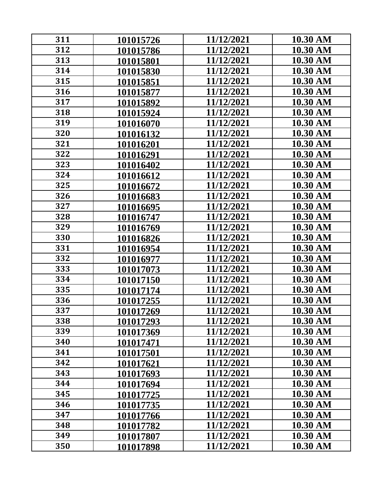| 311 | 101015726 | 11/12/2021 | 10.30 AM |
|-----|-----------|------------|----------|
| 312 | 101015786 | 11/12/2021 | 10.30 AM |
| 313 | 101015801 | 11/12/2021 | 10.30 AM |
| 314 | 101015830 | 11/12/2021 | 10.30 AM |
| 315 | 101015851 | 11/12/2021 | 10.30 AM |
| 316 | 101015877 | 11/12/2021 | 10.30 AM |
| 317 | 101015892 | 11/12/2021 | 10.30 AM |
| 318 | 101015924 | 11/12/2021 | 10.30 AM |
| 319 | 101016070 | 11/12/2021 | 10.30 AM |
| 320 | 101016132 | 11/12/2021 | 10.30 AM |
| 321 | 101016201 | 11/12/2021 | 10.30 AM |
| 322 | 101016291 | 11/12/2021 | 10.30 AM |
| 323 | 101016402 | 11/12/2021 | 10.30 AM |
| 324 | 101016612 | 11/12/2021 | 10.30 AM |
| 325 | 101016672 | 11/12/2021 | 10.30 AM |
| 326 | 101016683 | 11/12/2021 | 10.30 AM |
| 327 | 101016695 | 11/12/2021 | 10.30 AM |
| 328 | 101016747 | 11/12/2021 | 10.30 AM |
| 329 | 101016769 | 11/12/2021 | 10.30 AM |
| 330 | 101016826 | 11/12/2021 | 10.30 AM |
| 331 | 101016954 | 11/12/2021 | 10.30 AM |
| 332 | 101016977 | 11/12/2021 | 10.30 AM |
| 333 | 101017073 | 11/12/2021 | 10.30 AM |
| 334 | 101017150 | 11/12/2021 | 10.30 AM |
| 335 | 101017174 | 11/12/2021 | 10.30 AM |
| 336 | 101017255 | 11/12/2021 | 10.30 AM |
| 337 | 101017269 | 11/12/2021 | 10.30 AM |
| 338 | 101017293 | 11/12/2021 | 10.30 AM |
| 339 | 101017369 | 11/12/2021 | 10.30 AM |
| 340 | 101017471 | 11/12/2021 | 10.30 AM |
| 341 | 101017501 | 11/12/2021 | 10.30 AM |
| 342 | 101017621 | 11/12/2021 | 10.30 AM |
| 343 | 101017693 | 11/12/2021 | 10.30 AM |
| 344 | 101017694 | 11/12/2021 | 10.30 AM |
| 345 | 101017725 | 11/12/2021 | 10.30 AM |
| 346 | 101017735 | 11/12/2021 | 10.30 AM |
| 347 | 101017766 | 11/12/2021 | 10.30 AM |
| 348 | 101017782 | 11/12/2021 | 10.30 AM |
| 349 | 101017807 | 11/12/2021 | 10.30 AM |
| 350 | 101017898 | 11/12/2021 | 10.30 AM |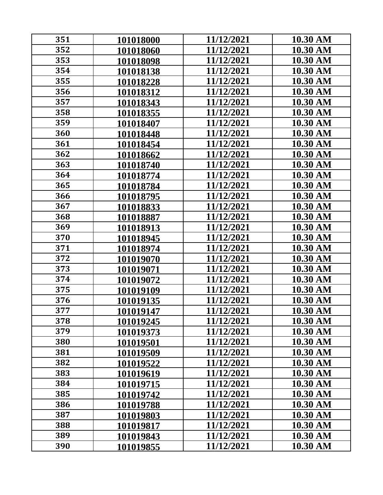| 351 |           | 11/12/2021 | 10.30 AM |
|-----|-----------|------------|----------|
| 352 | 101018000 | 11/12/2021 | 10.30 AM |
| 353 | 101018060 | 11/12/2021 | 10.30 AM |
|     | 101018098 |            |          |
| 354 | 101018138 | 11/12/2021 | 10.30 AM |
| 355 | 101018228 | 11/12/2021 | 10.30 AM |
| 356 | 101018312 | 11/12/2021 | 10.30 AM |
| 357 | 101018343 | 11/12/2021 | 10.30 AM |
| 358 | 101018355 | 11/12/2021 | 10.30 AM |
| 359 | 101018407 | 11/12/2021 | 10.30 AM |
| 360 | 101018448 | 11/12/2021 | 10.30 AM |
| 361 | 101018454 | 11/12/2021 | 10.30 AM |
| 362 | 101018662 | 11/12/2021 | 10.30 AM |
| 363 | 101018740 | 11/12/2021 | 10.30 AM |
| 364 | 101018774 | 11/12/2021 | 10.30 AM |
| 365 | 101018784 | 11/12/2021 | 10.30 AM |
| 366 | 101018795 | 11/12/2021 | 10.30 AM |
| 367 | 101018833 | 11/12/2021 | 10.30 AM |
| 368 | 101018887 | 11/12/2021 | 10.30 AM |
| 369 | 101018913 | 11/12/2021 | 10.30 AM |
| 370 | 101018945 | 11/12/2021 | 10.30 AM |
| 371 | 101018974 | 11/12/2021 | 10.30 AM |
| 372 | 101019070 | 11/12/2021 | 10.30 AM |
| 373 | 101019071 | 11/12/2021 | 10.30 AM |
| 374 | 101019072 | 11/12/2021 | 10.30 AM |
| 375 | 101019109 | 11/12/2021 | 10.30 AM |
| 376 | 101019135 | 11/12/2021 | 10.30 AM |
| 377 | 101019147 | 11/12/2021 | 10.30 AM |
| 378 |           | 11/12/2021 | 10.30 AM |
| 379 | 101019245 | 11/12/2021 | 10.30 AM |
| 380 | 101019373 |            |          |
|     | 101019501 | 11/12/2021 | 10.30 AM |
| 381 | 101019509 | 11/12/2021 | 10.30 AM |
| 382 | 101019522 | 11/12/2021 | 10.30 AM |
| 383 | 101019619 | 11/12/2021 | 10.30 AM |
| 384 | 101019715 | 11/12/2021 | 10.30 AM |
| 385 | 101019742 | 11/12/2021 | 10.30 AM |
| 386 | 101019788 | 11/12/2021 | 10.30 AM |
| 387 | 101019803 | 11/12/2021 | 10.30 AM |
| 388 | 101019817 | 11/12/2021 | 10.30 AM |
| 389 | 101019843 | 11/12/2021 | 10.30 AM |
| 390 | 101019855 | 11/12/2021 | 10.30 AM |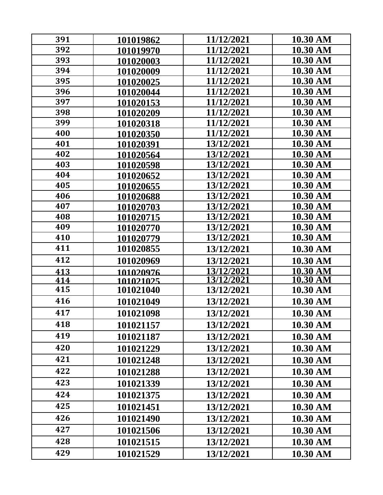| 391 | 101019862 | 11/12/2021        | 10.30 AM        |
|-----|-----------|-------------------|-----------------|
| 392 | 101019970 | 11/12/2021        | 10.30 AM        |
| 393 | 101020003 | 11/12/2021        | 10.30 AM        |
| 394 | 101020009 | 11/12/2021        | 10.30 AM        |
| 395 | 101020025 | 11/12/2021        | 10.30 AM        |
| 396 | 101020044 | 11/12/2021        | 10.30 AM        |
| 397 | 101020153 | 11/12/2021        | 10.30 AM        |
| 398 | 101020209 | 11/12/2021        | 10.30 AM        |
| 399 | 101020318 | 11/12/2021        | 10.30 AM        |
| 400 | 101020350 | 11/12/2021        | 10.30 AM        |
| 401 | 101020391 | 13/12/2021        | 10.30 AM        |
| 402 | 101020564 | 13/12/2021        | 10.30 AM        |
| 403 | 101020598 | 13/12/2021        | 10.30 AM        |
| 404 | 101020652 | 13/12/2021        | 10.30 AM        |
| 405 | 101020655 | 13/12/2021        | 10.30 AM        |
| 406 | 101020688 | 13/12/2021        | 10.30 AM        |
| 407 | 101020703 | 13/12/2021        | 10.30 AM        |
| 408 | 101020715 | 13/12/2021        | 10.30 AM        |
| 409 | 101020770 | 13/12/2021        | 10.30 AM        |
| 410 | 101020779 | 13/12/2021        | 10.30 AM        |
| 411 | 101020855 | 13/12/2021        | 10.30 AM        |
| 412 | 101020969 | 13/12/2021        | 10.30 AM        |
| 413 | 101020976 | 13/12/2021        | 10.30 AM        |
| 414 | 101021025 | <u>13/12/2021</u> | <u>10.30 AM</u> |
| 415 | 101021040 | 13/12/2021        | 10.30 AM        |
| 416 | 101021049 | 13/12/2021        | 10.30 AM        |
| 417 | 101021098 | 13/12/2021        | 10.30 AM        |
| 418 | 101021157 | 13/12/2021        | 10.30 AM        |
| 419 | 101021187 | 13/12/2021        | 10.30 AM        |
| 420 | 101021229 | 13/12/2021        | 10.30 AM        |
| 421 | 101021248 | 13/12/2021        | 10.30 AM        |
| 422 | 101021288 | 13/12/2021        | 10.30 AM        |
| 423 | 101021339 | 13/12/2021        | 10.30 AM        |
| 424 | 101021375 | 13/12/2021        | 10.30 AM        |
| 425 | 101021451 | 13/12/2021        | 10.30 AM        |
| 426 | 101021490 | 13/12/2021        | 10.30 AM        |
| 427 | 101021506 | 13/12/2021        | 10.30 AM        |
| 428 | 101021515 | 13/12/2021        | 10.30 AM        |
| 429 | 101021529 | 13/12/2021        | 10.30 AM        |
|     |           |                   |                 |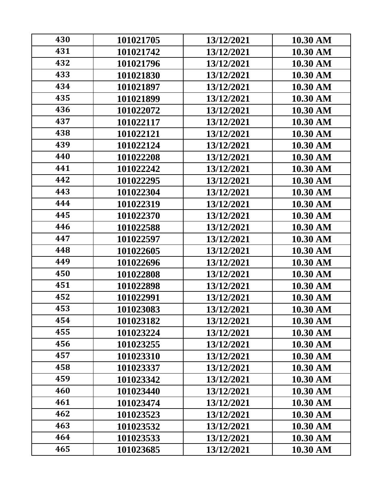| 430 | 101021705 | 13/12/2021 | 10.30 AM        |
|-----|-----------|------------|-----------------|
| 431 | 101021742 | 13/12/2021 | 10.30 AM        |
| 432 | 101021796 | 13/12/2021 | 10.30 AM        |
| 433 | 101021830 | 13/12/2021 | 10.30 AM        |
| 434 | 101021897 | 13/12/2021 | 10.30 AM        |
| 435 | 101021899 | 13/12/2021 | 10.30 AM        |
| 436 | 101022072 | 13/12/2021 | 10.30 AM        |
| 437 | 101022117 | 13/12/2021 | 10.30 AM        |
| 438 | 101022121 | 13/12/2021 | 10.30 AM        |
| 439 | 101022124 | 13/12/2021 | 10.30 AM        |
| 440 | 101022208 | 13/12/2021 | 10.30 AM        |
| 441 | 101022242 | 13/12/2021 | 10.30 AM        |
| 442 | 101022295 | 13/12/2021 | 10.30 AM        |
| 443 | 101022304 | 13/12/2021 | 10.30 AM        |
| 444 | 101022319 | 13/12/2021 | 10.30 AM        |
| 445 | 101022370 | 13/12/2021 | 10.30 AM        |
| 446 | 101022588 | 13/12/2021 | 10.30 AM        |
| 447 | 101022597 | 13/12/2021 | 10.30 AM        |
| 448 | 101022605 | 13/12/2021 | 10.30 AM        |
| 449 | 101022696 | 13/12/2021 | 10.30 AM        |
| 450 | 101022808 | 13/12/2021 | 10.30 AM        |
| 451 | 101022898 | 13/12/2021 | 10.30 AM        |
| 452 | 101022991 | 13/12/2021 | 10.30 AM        |
| 453 | 101023083 | 13/12/2021 | 10.30 AM        |
| 454 | 101023182 | 13/12/2021 | 10.30 AM        |
| 455 | 101023224 | 13/12/2021 | 10.30 AM        |
| 456 | 101023255 | 13/12/2021 | 10.30 AM        |
| 457 | 101023310 | 13/12/2021 | 10.30 AM        |
| 458 | 101023337 | 13/12/2021 | 10.30 AM        |
| 459 | 101023342 | 13/12/2021 | 10.30 AM        |
| 460 | 101023440 | 13/12/2021 | <b>10.30 AM</b> |
| 461 | 101023474 | 13/12/2021 | 10.30 AM        |
| 462 | 101023523 | 13/12/2021 | 10.30 AM        |
| 463 | 101023532 | 13/12/2021 | 10.30 AM        |
| 464 | 101023533 | 13/12/2021 | 10.30 AM        |
| 465 | 101023685 | 13/12/2021 | 10.30 AM        |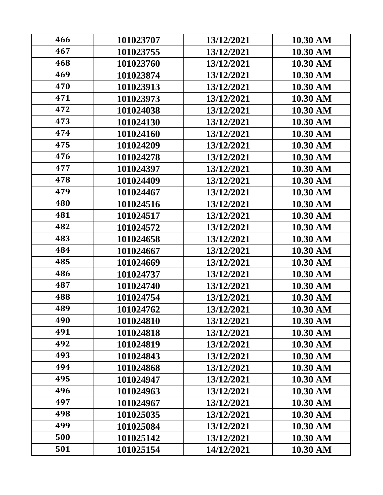| 466 | 101023707 | 13/12/2021 | 10.30 AM |
|-----|-----------|------------|----------|
| 467 | 101023755 | 13/12/2021 | 10.30 AM |
| 468 | 101023760 | 13/12/2021 | 10.30 AM |
| 469 | 101023874 | 13/12/2021 | 10.30 AM |
| 470 | 101023913 | 13/12/2021 | 10.30 AM |
| 471 | 101023973 | 13/12/2021 | 10.30 AM |
| 472 | 101024038 | 13/12/2021 | 10.30 AM |
| 473 | 101024130 | 13/12/2021 | 10.30 AM |
| 474 | 101024160 | 13/12/2021 | 10.30 AM |
| 475 | 101024209 | 13/12/2021 | 10.30 AM |
| 476 | 101024278 | 13/12/2021 | 10.30 AM |
| 477 | 101024397 | 13/12/2021 | 10.30 AM |
| 478 | 101024409 | 13/12/2021 | 10.30 AM |
| 479 | 101024467 | 13/12/2021 | 10.30 AM |
| 480 | 101024516 | 13/12/2021 | 10.30 AM |
| 481 | 101024517 | 13/12/2021 | 10.30 AM |
| 482 | 101024572 | 13/12/2021 | 10.30 AM |
| 483 | 101024658 | 13/12/2021 | 10.30 AM |
| 484 | 101024667 | 13/12/2021 | 10.30 AM |
| 485 | 101024669 | 13/12/2021 | 10.30 AM |
| 486 | 101024737 | 13/12/2021 | 10.30 AM |
| 487 | 101024740 | 13/12/2021 | 10.30 AM |
| 488 | 101024754 | 13/12/2021 | 10.30 AM |
| 489 | 101024762 | 13/12/2021 | 10.30 AM |
| 490 | 101024810 | 13/12/2021 | 10.30 AM |
| 491 | 101024818 | 13/12/2021 | 10.30 AM |
| 492 | 101024819 | 13/12/2021 | 10.30 AM |
| 493 | 101024843 | 13/12/2021 | 10.30 AM |
| 494 | 101024868 | 13/12/2021 | 10.30 AM |
| 495 | 101024947 | 13/12/2021 | 10.30 AM |
| 496 | 101024963 | 13/12/2021 | 10.30 AM |
| 497 | 101024967 | 13/12/2021 | 10.30 AM |
| 498 | 101025035 | 13/12/2021 | 10.30 AM |
| 499 | 101025084 | 13/12/2021 | 10.30 AM |
| 500 | 101025142 | 13/12/2021 | 10.30 AM |
| 501 | 101025154 | 14/12/2021 | 10.30 AM |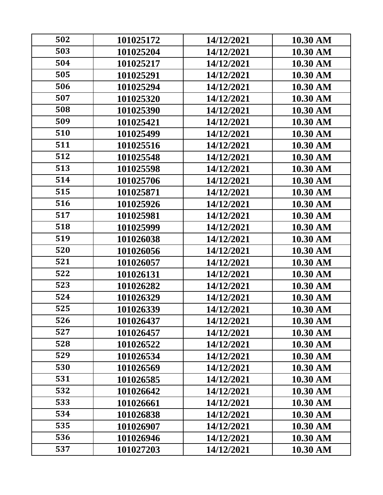| 502 | 101025172 | 14/12/2021 | 10.30 AM |
|-----|-----------|------------|----------|
| 503 | 101025204 | 14/12/2021 | 10.30 AM |
| 504 | 101025217 | 14/12/2021 | 10.30 AM |
| 505 | 101025291 | 14/12/2021 | 10.30 AM |
| 506 | 101025294 | 14/12/2021 | 10.30 AM |
| 507 | 101025320 | 14/12/2021 | 10.30 AM |
| 508 | 101025390 | 14/12/2021 | 10.30 AM |
| 509 | 101025421 | 14/12/2021 | 10.30 AM |
| 510 | 101025499 | 14/12/2021 | 10.30 AM |
| 511 | 101025516 | 14/12/2021 | 10.30 AM |
| 512 | 101025548 | 14/12/2021 | 10.30 AM |
| 513 | 101025598 | 14/12/2021 | 10.30 AM |
| 514 | 101025706 | 14/12/2021 | 10.30 AM |
| 515 | 101025871 | 14/12/2021 | 10.30 AM |
| 516 | 101025926 | 14/12/2021 | 10.30 AM |
| 517 | 101025981 | 14/12/2021 | 10.30 AM |
| 518 | 101025999 | 14/12/2021 | 10.30 AM |
| 519 | 101026038 | 14/12/2021 | 10.30 AM |
| 520 | 101026056 | 14/12/2021 | 10.30 AM |
| 521 | 101026057 | 14/12/2021 | 10.30 AM |
| 522 | 101026131 | 14/12/2021 | 10.30 AM |
| 523 | 101026282 | 14/12/2021 | 10.30 AM |
| 524 | 101026329 | 14/12/2021 | 10.30 AM |
| 525 | 101026339 | 14/12/2021 | 10.30 AM |
| 526 | 101026437 | 14/12/2021 | 10.30 AM |
| 527 | 101026457 | 14/12/2021 | 10.30 AM |
| 528 | 101026522 | 14/12/2021 | 10.30 AM |
| 529 | 101026534 | 14/12/2021 | 10.30 AM |
| 530 | 101026569 | 14/12/2021 | 10.30 AM |
| 531 | 101026585 | 14/12/2021 | 10.30 AM |
| 532 | 101026642 | 14/12/2021 | 10.30 AM |
| 533 | 101026661 | 14/12/2021 | 10.30 AM |
| 534 | 101026838 | 14/12/2021 | 10.30 AM |
| 535 | 101026907 | 14/12/2021 | 10.30 AM |
| 536 | 101026946 | 14/12/2021 | 10.30 AM |
| 537 | 101027203 | 14/12/2021 | 10.30 AM |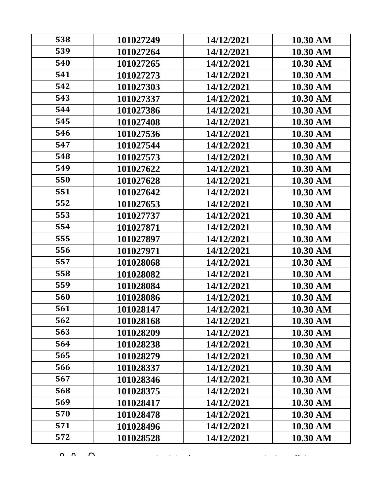| 538 | 101027249 | 14/12/2021 | 10.30 AM |
|-----|-----------|------------|----------|
| 539 | 101027264 | 14/12/2021 | 10.30 AM |
| 540 | 101027265 | 14/12/2021 | 10.30 AM |
| 541 | 101027273 | 14/12/2021 | 10.30 AM |
| 542 | 101027303 | 14/12/2021 | 10.30 AM |
| 543 | 101027337 | 14/12/2021 | 10.30 AM |
| 544 | 101027386 | 14/12/2021 | 10.30 AM |
| 545 | 101027408 | 14/12/2021 | 10.30 AM |
| 546 | 101027536 | 14/12/2021 | 10.30 AM |
| 547 | 101027544 | 14/12/2021 | 10.30 AM |
| 548 | 101027573 | 14/12/2021 | 10.30 AM |
| 549 | 101027622 | 14/12/2021 | 10.30 AM |
| 550 | 101027628 | 14/12/2021 | 10.30 AM |
| 551 | 101027642 | 14/12/2021 | 10.30 AM |
| 552 | 101027653 | 14/12/2021 | 10.30 AM |
| 553 | 101027737 | 14/12/2021 | 10.30 AM |
| 554 | 101027871 | 14/12/2021 | 10.30 AM |
| 555 | 101027897 | 14/12/2021 | 10.30 AM |
| 556 | 101027971 | 14/12/2021 | 10.30 AM |
| 557 | 101028068 | 14/12/2021 | 10.30 AM |
| 558 | 101028082 | 14/12/2021 | 10.30 AM |
| 559 | 101028084 | 14/12/2021 | 10.30 AM |
| 560 | 101028086 | 14/12/2021 | 10.30 AM |
| 561 | 101028147 | 14/12/2021 | 10.30 AM |
| 562 | 101028168 | 14/12/2021 | 10.30 AM |
| 563 | 101028209 | 14/12/2021 | 10.30 AM |
| 564 | 101028238 | 14/12/2021 | 10.30 AM |
| 565 | 101028279 | 14/12/2021 | 10.30 AM |
| 566 | 101028337 | 14/12/2021 | 10.30 AM |
| 567 | 101028346 | 14/12/2021 | 10.30 AM |
| 568 | 101028375 | 14/12/2021 | 10.30 AM |
| 569 | 101028417 | 14/12/2021 | 10.30 AM |
| 570 | 101028478 | 14/12/2021 | 10.30 AM |
| 571 | 101028496 | 14/12/2021 | 10.30 AM |
| 572 | 101028528 | 14/12/2021 | 10.30 AM |

 $\overline{Q}$